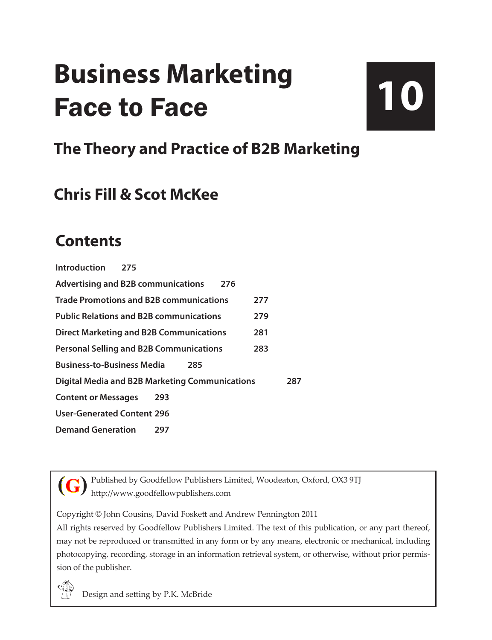# **Business Marketing** Face to Face

# **10**

### **The Theory and Practice of B2B Marketing**

### **Chris Fill & Scot McKee**

### **Contents**

| Introduction                                          | 275 |     |     |     |     |     |
|-------------------------------------------------------|-----|-----|-----|-----|-----|-----|
| <b>Advertising and B2B communications</b>             |     |     |     | 276 |     |     |
| <b>Trade Promotions and B2B communications</b>        |     |     |     |     | 277 |     |
| <b>Public Relations and B2B communications</b>        |     |     |     |     | 279 |     |
| <b>Direct Marketing and B2B Communications</b>        |     |     |     |     | 281 |     |
| <b>Personal Selling and B2B Communications</b>        |     |     |     |     | 283 |     |
| <b>Business-to-Business Media</b>                     |     |     | 285 |     |     |     |
| <b>Digital Media and B2B Marketing Communications</b> |     |     |     |     |     | 287 |
| <b>Content or Messages</b>                            |     | 293 |     |     |     |     |
| <b>User-Generated Content 296</b>                     |     |     |     |     |     |     |
| <b>Demand Generation</b>                              |     | 297 |     |     |     |     |

**(G)**

Published by Goodfellow Publishers Limited, Woodeaton, Oxford, OX3 9TJ http://www.goodfellowpublishers.com

Copyright © John Cousins, David Foskett and Andrew Pennington 2011

All rights reserved by Goodfellow Publishers Limited. The text of this publication, or any part thereof, may not be reproduced or transmitted in any form or by any means, electronic or mechanical, including photocopying, recording, storage in an information retrieval system, or otherwise, without prior permission of the publisher.

Design and setting by P.K. McBride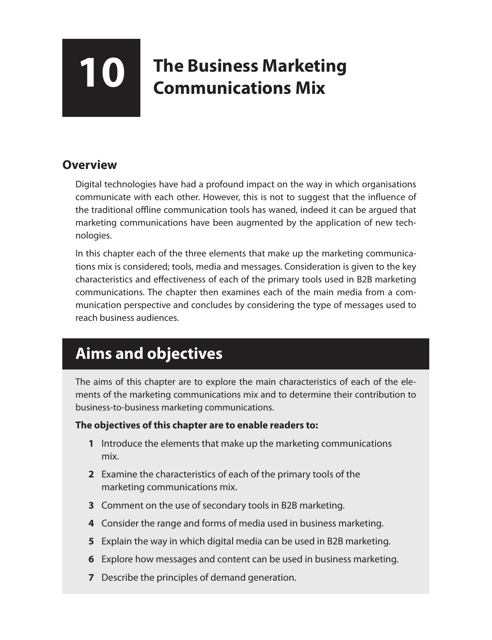## **10** The Business Marketing<br> **10** Communications Mix **Communications Mix**

#### **Overview**

Digital technologies have had a profound impact on the way in which organisations communicate with each other. However, this is not to suggest that the influence of the traditional offline communication tools has waned, indeed it can be argued that marketing communications have been augmented by the application of new technologies.

In this chapter each of the three elements that make up the marketing communications mix is considered; tools, media and messages. Consideration is given to the key characteristics and effectiveness of each of the primary tools used in B2B marketing communications. The chapter then examines each of the main media from a communication perspective and concludes by considering the type of messages used to reach business audiences.

### **Aims and objectives**

The aims of this chapter are to explore the main characteristics of each of the elements of the marketing communications mix and to determine their contribution to business-to-business marketing communications.

#### **The objectives of this chapter are to enable readers to:**

- **1** Introduce the elements that make up the marketing communications mix.
- **2** Examine the characteristics of each of the primary tools of the marketing communications mix.
- **3** Comment on the use of secondary tools in B2B marketing.
- **4** Consider the range and forms of media used in business marketing.
- **5** Explain the way in which digital media can be used in B2B marketing.
- **6** Explore how messages and content can be used in business marketing.
- **7** Describe the principles of demand generation.